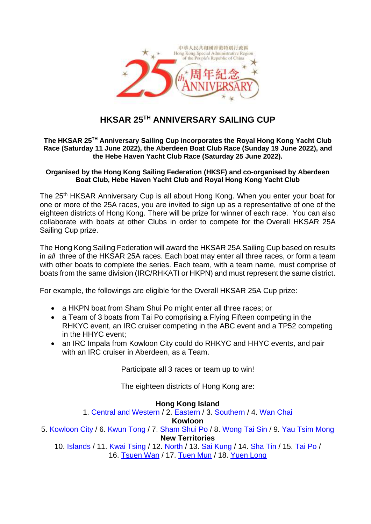

# **HKSAR 25TH ANNIVERSARY SAILING CUP**

#### **The HKSAR 25TH Anniversary Sailing Cup incorporates the Royal Hong Kong Yacht Club Race (Saturday 11 June 2022), the Aberdeen Boat Club Race (Sunday 19 June 2022), and the Hebe Haven Yacht Club Race (Saturday 25 June 2022).**

# **Organised by the Hong Kong Sailing Federation (HKSF) and co-organised by Aberdeen Boat Club, Hebe Haven Yacht Club and Royal Hong Kong Yacht Club**

The 25<sup>th</sup> HKSAR Anniversary Cup is all about Hong Kong. When you enter your boat for one or more of the 25A races, you are invited to sign up as a representative of one of the eighteen districts of Hong Kong. There will be prize for winner of each race. You can also collaborate with boats at other Clubs in order to compete for the Overall HKSAR 25A Sailing Cup prize.

The Hong Kong Sailing Federation will award the HKSAR 25A Sailing Cup based on results in *all* three of the HKSAR 25A races. Each boat may enter all three races, or form a team with other boats to complete the series. Each team, with a team name, must comprise of boats from the same division (IRC/RHKATI or HKPN) and must represent the same district.

For example, the followings are eligible for the Overall HKSAR 25A Cup prize:

- a HKPN boat from Sham Shui Po might enter all three races; or
- a Team of 3 boats from Tai Po comprising a Flying Fifteen competing in the RHKYC event, an IRC cruiser competing in the ABC event and a TP52 competing in the HHYC event;
- an IRC Impala from Kowloon City could do RHKYC and HHYC events, and pair with an IRC cruiser in Aberdeen, as a Team.

Participate all 3 races or team up to win!

The eighteen districts of Hong Kong are:

# **Hong Kong Island**

1. [Central and Western](https://apc01.safelinks.protection.outlook.com/?url=https%3A%2F%2Fwww.had.gov.hk%2Fen%2F18_districts%2Fmy_map_01.php&data=05%7C01%7C%7C3cfa01e0c6f74391cb5208da22f2fa83%7C7b959b586e7949d3ad38e3513a2e09bf%7C0%7C0%7C637860724386922721%7CUnknown%7CTWFpbGZsb3d8eyJWIjoiMC4wLjAwMDAiLCJQIjoiV2luMzIiLCJBTiI6Ik1haWwiLCJXVCI6Mn0%3D%7C3000%7C%7C%7C&sdata=L77OYVcgGQiEL68prn3RNlAxUMqeAmFn9QGgV2ahT9U%3D&reserved=0) / 2. [Eastern](https://apc01.safelinks.protection.outlook.com/?url=https%3A%2F%2Fwww.had.gov.hk%2Fen%2F18_districts%2Fmy_map_02.php&data=05%7C01%7C%7C3cfa01e0c6f74391cb5208da22f2fa83%7C7b959b586e7949d3ad38e3513a2e09bf%7C0%7C0%7C637860724386922721%7CUnknown%7CTWFpbGZsb3d8eyJWIjoiMC4wLjAwMDAiLCJQIjoiV2luMzIiLCJBTiI6Ik1haWwiLCJXVCI6Mn0%3D%7C3000%7C%7C%7C&sdata=OkIfM%2BLR0LVU3ywalxlM%2Bjb%2FPEKX231Z4V09UY0diH8%3D&reserved=0) / 3. [Southern](https://apc01.safelinks.protection.outlook.com/?url=https%3A%2F%2Fwww.had.gov.hk%2Fen%2F18_districts%2Fmy_map_03.php&data=05%7C01%7C%7C3cfa01e0c6f74391cb5208da22f2fa83%7C7b959b586e7949d3ad38e3513a2e09bf%7C0%7C0%7C637860724386922721%7CUnknown%7CTWFpbGZsb3d8eyJWIjoiMC4wLjAwMDAiLCJQIjoiV2luMzIiLCJBTiI6Ik1haWwiLCJXVCI6Mn0%3D%7C3000%7C%7C%7C&sdata=qaIA0XfK4Nmx7Z%2B0YCpLkT88eK8bKEi%2F9Zj2J3A7cys%3D&reserved=0) / 4. [Wan Chai](https://apc01.safelinks.protection.outlook.com/?url=https%3A%2F%2Fwww.had.gov.hk%2Fen%2F18_districts%2Fmy_map_04.php&data=05%7C01%7C%7C3cfa01e0c6f74391cb5208da22f2fa83%7C7b959b586e7949d3ad38e3513a2e09bf%7C0%7C0%7C637860724386922721%7CUnknown%7CTWFpbGZsb3d8eyJWIjoiMC4wLjAwMDAiLCJQIjoiV2luMzIiLCJBTiI6Ik1haWwiLCJXVCI6Mn0%3D%7C3000%7C%7C%7C&sdata=cYXnZmLHZe3yMS3ohbGnrSGK9ATc0HdEl96l1ahw1Ng%3D&reserved=0)

# **Kowloon**

5. [Kowloon City](https://apc01.safelinks.protection.outlook.com/?url=https%3A%2F%2Fwww.had.gov.hk%2Fen%2F18_districts%2Fmy_map_05.php&data=05%7C01%7C%7C3cfa01e0c6f74391cb5208da22f2fa83%7C7b959b586e7949d3ad38e3513a2e09bf%7C0%7C0%7C637860724386922721%7CUnknown%7CTWFpbGZsb3d8eyJWIjoiMC4wLjAwMDAiLCJQIjoiV2luMzIiLCJBTiI6Ik1haWwiLCJXVCI6Mn0%3D%7C3000%7C%7C%7C&sdata=unVz2kcubZy1iMY%2F3NTy56M%2FlDcPEI9DIf05r7R1AEc%3D&reserved=0) / 6. [Kwun Tong](https://apc01.safelinks.protection.outlook.com/?url=https%3A%2F%2Fwww.had.gov.hk%2Fen%2F18_districts%2Fmy_map_06.php&data=05%7C01%7C%7C3cfa01e0c6f74391cb5208da22f2fa83%7C7b959b586e7949d3ad38e3513a2e09bf%7C0%7C0%7C637860724386922721%7CUnknown%7CTWFpbGZsb3d8eyJWIjoiMC4wLjAwMDAiLCJQIjoiV2luMzIiLCJBTiI6Ik1haWwiLCJXVCI6Mn0%3D%7C3000%7C%7C%7C&sdata=zVWaDgtBVTdXbtKb263L%2F%2FtCSJ17swej9rJp5fNV4JA%3D&reserved=0) / 7. [Sham Shui Po](https://apc01.safelinks.protection.outlook.com/?url=https%3A%2F%2Fwww.had.gov.hk%2Fen%2F18_districts%2Fmy_map_07.php&data=05%7C01%7C%7C3cfa01e0c6f74391cb5208da22f2fa83%7C7b959b586e7949d3ad38e3513a2e09bf%7C0%7C0%7C637860724386922721%7CUnknown%7CTWFpbGZsb3d8eyJWIjoiMC4wLjAwMDAiLCJQIjoiV2luMzIiLCJBTiI6Ik1haWwiLCJXVCI6Mn0%3D%7C3000%7C%7C%7C&sdata=Ot7U5XCJk0TUEFQB9Ief40vmDIbk36DNr62QG6nPf84%3D&reserved=0) / 8. [Wong Tai Sin](https://apc01.safelinks.protection.outlook.com/?url=https%3A%2F%2Fwww.had.gov.hk%2Fen%2F18_districts%2Fmy_map_08.php&data=05%7C01%7C%7C3cfa01e0c6f74391cb5208da22f2fa83%7C7b959b586e7949d3ad38e3513a2e09bf%7C0%7C0%7C637860724386922721%7CUnknown%7CTWFpbGZsb3d8eyJWIjoiMC4wLjAwMDAiLCJQIjoiV2luMzIiLCJBTiI6Ik1haWwiLCJXVCI6Mn0%3D%7C3000%7C%7C%7C&sdata=S719UA9Hq%2BnIkl2ii7e9j166pt8g8EYgsxqlTyi9y%2B0%3D&reserved=0) / 9. [Yau Tsim Mong](https://apc01.safelinks.protection.outlook.com/?url=https%3A%2F%2Fwww.had.gov.hk%2Fen%2F18_districts%2Fmy_map_09.php&data=05%7C01%7C%7C3cfa01e0c6f74391cb5208da22f2fa83%7C7b959b586e7949d3ad38e3513a2e09bf%7C0%7C0%7C637860724386922721%7CUnknown%7CTWFpbGZsb3d8eyJWIjoiMC4wLjAwMDAiLCJQIjoiV2luMzIiLCJBTiI6Ik1haWwiLCJXVCI6Mn0%3D%7C3000%7C%7C%7C&sdata=iLEkPTzD2VWraB98Dj6V6GwzsxWhNCHYCgai4TObi28%3D&reserved=0) **New Territories**

10. [Islands](https://apc01.safelinks.protection.outlook.com/?url=https%3A%2F%2Fwww.had.gov.hk%2Fen%2F18_districts%2Fmy_map_10.php&data=05%7C01%7C%7C3cfa01e0c6f74391cb5208da22f2fa83%7C7b959b586e7949d3ad38e3513a2e09bf%7C0%7C0%7C637860724386922721%7CUnknown%7CTWFpbGZsb3d8eyJWIjoiMC4wLjAwMDAiLCJQIjoiV2luMzIiLCJBTiI6Ik1haWwiLCJXVCI6Mn0%3D%7C3000%7C%7C%7C&sdata=IDt%2B0EXPhoE2cI4CVs6gPD7b7URT5q3dBHJWho6kCZo%3D&reserved=0) / 11. [Kwai Tsing](https://apc01.safelinks.protection.outlook.com/?url=https%3A%2F%2Fwww.had.gov.hk%2Fen%2F18_districts%2Fmy_map_11.php&data=05%7C01%7C%7C3cfa01e0c6f74391cb5208da22f2fa83%7C7b959b586e7949d3ad38e3513a2e09bf%7C0%7C0%7C637860724386922721%7CUnknown%7CTWFpbGZsb3d8eyJWIjoiMC4wLjAwMDAiLCJQIjoiV2luMzIiLCJBTiI6Ik1haWwiLCJXVCI6Mn0%3D%7C3000%7C%7C%7C&sdata=49aeNRoU1EdPmj%2F6x5W1F%2Fml0ZyS7cqQj9T0Ng5fnB8%3D&reserved=0) / 12. [North](https://apc01.safelinks.protection.outlook.com/?url=https%3A%2F%2Fwww.had.gov.hk%2Fen%2F18_districts%2Fmy_map_12.php&data=05%7C01%7C%7C3cfa01e0c6f74391cb5208da22f2fa83%7C7b959b586e7949d3ad38e3513a2e09bf%7C0%7C0%7C637860724386922721%7CUnknown%7CTWFpbGZsb3d8eyJWIjoiMC4wLjAwMDAiLCJQIjoiV2luMzIiLCJBTiI6Ik1haWwiLCJXVCI6Mn0%3D%7C3000%7C%7C%7C&sdata=wlSbgmm4vLOOqLvq85UFVZAEDPAr8s6kXAAnlmEuJyk%3D&reserved=0) / 13. [Sai Kung](https://apc01.safelinks.protection.outlook.com/?url=https%3A%2F%2Fwww.had.gov.hk%2Fen%2F18_districts%2Fmy_map_13.php&data=05%7C01%7C%7C3cfa01e0c6f74391cb5208da22f2fa83%7C7b959b586e7949d3ad38e3513a2e09bf%7C0%7C0%7C637860724386922721%7CUnknown%7CTWFpbGZsb3d8eyJWIjoiMC4wLjAwMDAiLCJQIjoiV2luMzIiLCJBTiI6Ik1haWwiLCJXVCI6Mn0%3D%7C3000%7C%7C%7C&sdata=dDiUvVHEKTcBt%2BRRYgauG60g8eqjKNafjcWTTCDgpqc%3D&reserved=0) / 14. [Sha Tin](https://apc01.safelinks.protection.outlook.com/?url=https%3A%2F%2Fwww.had.gov.hk%2Fen%2F18_districts%2Fmy_map_14.php&data=05%7C01%7C%7C3cfa01e0c6f74391cb5208da22f2fa83%7C7b959b586e7949d3ad38e3513a2e09bf%7C0%7C0%7C637860724386922721%7CUnknown%7CTWFpbGZsb3d8eyJWIjoiMC4wLjAwMDAiLCJQIjoiV2luMzIiLCJBTiI6Ik1haWwiLCJXVCI6Mn0%3D%7C3000%7C%7C%7C&sdata=LPH5DHmthKlj0S7ZUstyXL2UqXSePTahf2eJZ%2FaRtRA%3D&reserved=0) / 15. [Tai Po](https://apc01.safelinks.protection.outlook.com/?url=https%3A%2F%2Fwww.had.gov.hk%2Fen%2F18_districts%2Fmy_map_15.php&data=05%7C01%7C%7C3cfa01e0c6f74391cb5208da22f2fa83%7C7b959b586e7949d3ad38e3513a2e09bf%7C0%7C0%7C637860724386922721%7CUnknown%7CTWFpbGZsb3d8eyJWIjoiMC4wLjAwMDAiLCJQIjoiV2luMzIiLCJBTiI6Ik1haWwiLCJXVCI6Mn0%3D%7C3000%7C%7C%7C&sdata=OVJe6onDZ%2FoITwT1e9tu0qRqTi0%2FI032Er8FSUt81ik%3D&reserved=0) / 16. [Tsuen Wan](https://apc01.safelinks.protection.outlook.com/?url=https%3A%2F%2Fwww.had.gov.hk%2Fen%2F18_districts%2Fmy_map_16.php&data=05%7C01%7C%7C3cfa01e0c6f74391cb5208da22f2fa83%7C7b959b586e7949d3ad38e3513a2e09bf%7C0%7C0%7C637860724386922721%7CUnknown%7CTWFpbGZsb3d8eyJWIjoiMC4wLjAwMDAiLCJQIjoiV2luMzIiLCJBTiI6Ik1haWwiLCJXVCI6Mn0%3D%7C3000%7C%7C%7C&sdata=2clwyXR%2FPAElmL5mSIrXMh%2Fm9y9HepBQWJnZHlIPhcI%3D&reserved=0) / 17. [Tuen Mun](https://apc01.safelinks.protection.outlook.com/?url=https%3A%2F%2Fwww.had.gov.hk%2Fen%2F18_districts%2Fmy_map_17.php&data=05%7C01%7C%7C3cfa01e0c6f74391cb5208da22f2fa83%7C7b959b586e7949d3ad38e3513a2e09bf%7C0%7C0%7C637860724386922721%7CUnknown%7CTWFpbGZsb3d8eyJWIjoiMC4wLjAwMDAiLCJQIjoiV2luMzIiLCJBTiI6Ik1haWwiLCJXVCI6Mn0%3D%7C3000%7C%7C%7C&sdata=AJ3rF0ocCb%2BVX6kHMeycilIdS5aNqTABE%2BvKKdxZgEU%3D&reserved=0) / 18. [Yuen Long](https://apc01.safelinks.protection.outlook.com/?url=https%3A%2F%2Fwww.had.gov.hk%2Fen%2F18_districts%2Fmy_map_18.php&data=05%7C01%7C%7C3cfa01e0c6f74391cb5208da22f2fa83%7C7b959b586e7949d3ad38e3513a2e09bf%7C0%7C0%7C637860724386922721%7CUnknown%7CTWFpbGZsb3d8eyJWIjoiMC4wLjAwMDAiLCJQIjoiV2luMzIiLCJBTiI6Ik1haWwiLCJXVCI6Mn0%3D%7C3000%7C%7C%7C&sdata=yeQcZW34P5NzhRdBiXJTWySFCfVkgNku46ZDQTmol%2BE%3D&reserved=0)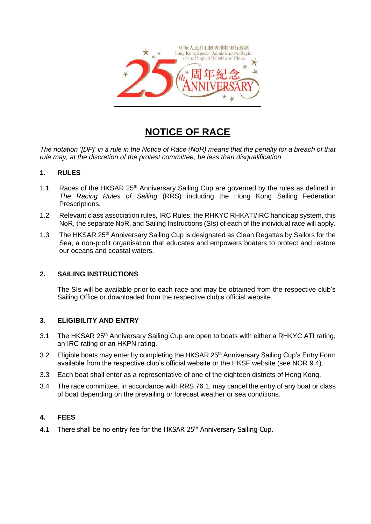

# **NOTICE OF RACE**

*The notation '[DP]' in a rule in the Notice of Race (NoR) means that the penalty for a breach of that rule may, at the discretion of the protest committee, be less than disqualification.*

# **1. RULES**

- 1.1 Races of the HKSAR 25<sup>th</sup> Anniversary Sailing Cup are governed by the rules as defined in *The Racing Rules of Sailing* (RRS) including the Hong Kong Sailing Federation Prescriptions.
- 1.2 Relevant class association rules, IRC Rules, the RHKYC RHKATI/IRC handicap system, this NoR, the separate NoR, and Sailing Instructions (SIs) of each of the individual race will apply.
- 1.3 The HKSAR 25<sup>th</sup> Anniversary Sailing Cup is designated as Clean Regattas by Sailors for the Sea, a non-profit organisation that educates and empowers boaters to protect and restore our oceans and coastal waters.

# **2. SAILING INSTRUCTIONS**

The SIs will be available prior to each race and may be obtained from the respective club's Sailing Office or downloaded from [the](http://www.rhkyc.org.hk/) respective club's official website.

# **3. ELIGIBILITY AND ENTRY**

- 3.1 The HKSAR 25<sup>th</sup> Anniversary Sailing Cup are open to boats with either a RHKYC ATI rating, an IRC rating or an HKPN rating.
- 3.2 Eligible boats may enter by completing the HKSAR 25<sup>th</sup> Anniversary Sailing Cup's Entry Form available from the respective club's official website or the HKSF website (see NOR 9.4).
- 3.3 Each boat shall enter as a representative of one of the eighteen districts of Hong Kong.
- 3.4 The race committee, in accordance with RRS 76.1, may cancel the entry of any boat or class of boat depending on the prevailing or forecast weather or sea conditions.

# **4. FEES**

4.1 There shall be no entry fee for the HKSAR 25<sup>th</sup> Anniversary Sailing Cup.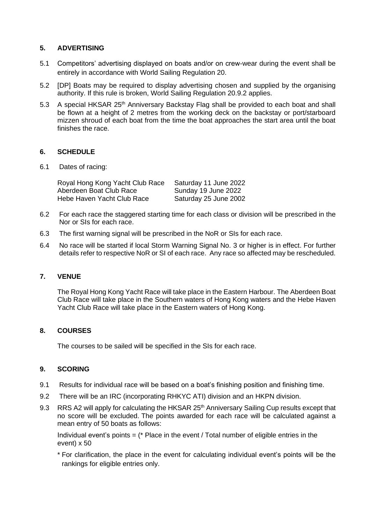# **5. ADVERTISING**

- 5.1 Competitors' advertising displayed on boats and/or on crew-wear during the event shall be entirely in accordance with World Sailing Regulation 20.
- 5.2 [DP] Boats may be required to display advertising chosen and supplied by the organising authority. If this rule is broken, World Sailing Regulation 20.9.2 applies.
- 5.3 A special HKSAR 25<sup>th</sup> Anniversary Backstay Flag shall be provided to each boat and shall be flown at a height of 2 metres from the working deck on the backstay or port/starboard mizzen shroud of each boat from the time the boat approaches the start area until the boat finishes the race.

# **6. SCHEDULE**

6.1 Dates of racing:

| Royal Hong Kong Yacht Club Race | Saturday 11 June 2022 |
|---------------------------------|-----------------------|
| Aberdeen Boat Club Race         | Sunday 19 June 2022   |
| Hebe Haven Yacht Club Race      | Saturday 25 June 2002 |

- 6.2 For each race the staggered starting time for each class or division will be prescribed in the Nor or SIs for each race.
- 6.3 The first warning signal will be prescribed in the NoR or SIs for each race.
- 6.4 No race will be started if local Storm Warning Signal No. 3 or higher is in effect. For further details refer to respective NoR or SI of each race. Any race so affected may be rescheduled.

# **7. VENUE**

The Royal Hong Kong Yacht Race will take place in the Eastern Harbour. The Aberdeen Boat Club Race will take place in the Southern waters of Hong Kong waters and the Hebe Haven Yacht Club Race will take place in the Eastern waters of Hong Kong.

# **8. COURSES**

The courses to be sailed will be specified in the SIs for each race.

# **9. SCORING**

- 9.1 Results for individual race will be based on a boat's finishing position and finishing time.
- 9.2 There will be an IRC (incorporating RHKYC ATI) division and an HKPN division.
- 9.3 RRS A2 will apply for calculating the HKSAR 25<sup>th</sup> Anniversary Sailing Cup results except that no score will be excluded. The points awarded for each race will be calculated against a mean entry of 50 boats as follows:

Individual event's points  $=$  ( $*$  Place in the event / Total number of eligible entries in the event) x 50

\* For clarification, the place in the event for calculating individual event's points will be the rankings for eligible entries only.